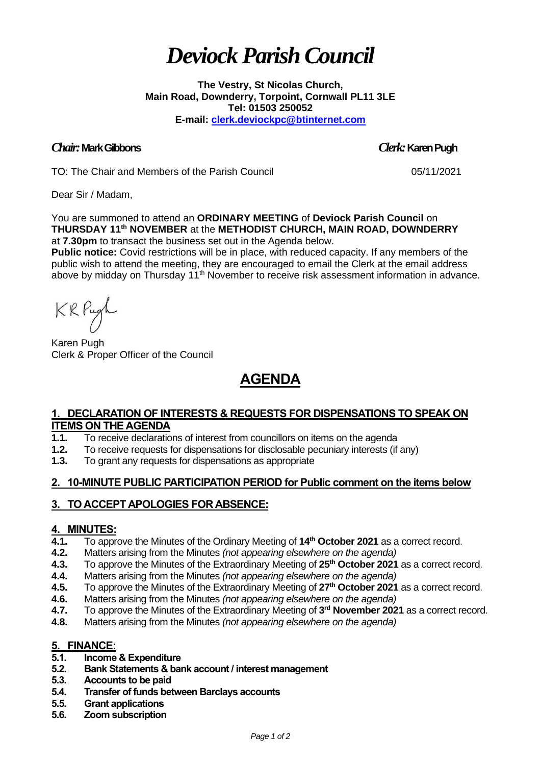# *Deviock Parish Council*

**The Vestry, St Nicolas Church, Main Road, Downderry, Torpoint, Cornwall PL11 3LE Tel: 01503 250052 E-mail: [clerk.deviockpc@btinternet.com](mailto:clerk.deviockpc@btinternet.com)**

#### *Chair:* **Mark Gibbons** *Clerk:* **Karen Pugh**

TO: The Chair and Members of the Parish Council 05/11/2021

Dear Sir / Madam,

You are summoned to attend an **ORDINARY MEETING** of **Deviock Parish Council** on **THURSDAY 11 th NOVEMBER** at the **METHODIST CHURCH, MAIN ROAD, DOWNDERRY** at **7.30pm** to transact the business set out in the Agenda below.

**Public notice:** Covid restrictions will be in place, with reduced capacity. If any members of the public wish to attend the meeting, they are encouraged to email the Clerk at the email address above by midday on Thursday 11<sup>th</sup> November to receive risk assessment information in advance.

KRPugh

Karen Pugh Clerk & Proper Officer of the Council

## **AGENDA**

#### **1. DECLARATION OF INTERESTS & REQUESTS FOR DISPENSATIONS TO SPEAK ON ITEMS ON THE AGENDA**

- **1.1.** To receive declarations of interest from councillors on items on the agenda
- **1.2.** To receive requests for dispensations for disclosable pecuniary interests (if any)
- **1.3.** To grant any requests for dispensations as appropriate

### **2. 10-MINUTE PUBLIC PARTICIPATION PERIOD for Public comment on the items below**

### **3. TO ACCEPT APOLOGIES FOR ABSENCE:**

#### **4. MINUTES:**

- **4.1.** To approve the Minutes of the Ordinary Meeting of **14th October 2021** as a correct record.
- **4.2.** Matters arising from the Minutes *(not appearing elsewhere on the agenda)*
- **4.3.** To approve the Minutes of the Extraordinary Meeting of **25th October 2021** as a correct record.
- **4.4.** Matters arising from the Minutes *(not appearing elsewhere on the agenda)*
- **4.5.** To approve the Minutes of the Extraordinary Meeting of **27th October 2021** as a correct record.
- **4.6.** Matters arising from the Minutes *(not appearing elsewhere on the agenda)*
- **4.7.** To approve the Minutes of the Extraordinary Meeting of **3 rd November 2021** as a correct record.
- **4.8.** Matters arising from the Minutes *(not appearing elsewhere on the agenda)*

#### **5. FINANCE:**

- **5.1. Income & Expenditure**
- **5.2. Bank Statements & bank account / interest management**
- **5.3. Accounts to be paid**
- **5.4. Transfer of funds between Barclays accounts**
- **5.5. Grant applications**
- **5.6. Zoom subscription**